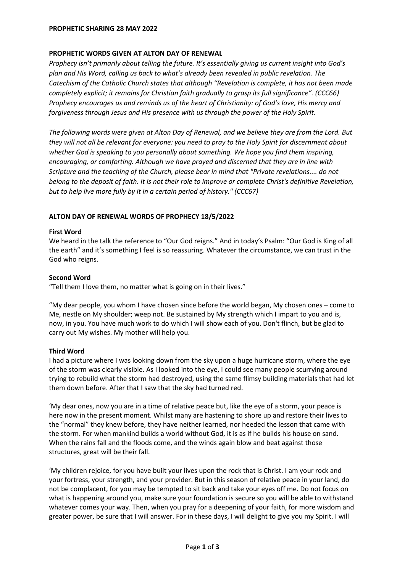### **PROPHETIC SHARING 28 MAY 2022**

### **PROPHETIC WORDS GIVEN AT ALTON DAY OF RENEWAL**

*Prophecy isn't primarily about telling the future. It's essentially giving us current insight into God's plan and His Word, calling us back to what's already been revealed in public revelation. The Catechism of the Catholic Church states that although "Revelation is complete, it has not been made completely explicit; it remains for Christian faith gradually to grasp its full significance". (CCC66) Prophecy encourages us and reminds us of the heart of Christianity: of God's love, His mercy and forgiveness through Jesus and His presence with us through the power of the Holy Spirit.*

*The following words were given at Alton Day of Renewal, and we believe they are from the Lord. But they will not all be relevant for everyone: you need to pray to the Holy Spirit for discernment about whether God is speaking to you personally about something. We hope you find them inspiring, encouraging, or comforting. Although we have prayed and discerned that they are in line with Scripture and the teaching of the Church, please bear in mind that "Private revelations.... do not belong to the deposit of faith. It is not their role to improve or complete Christ's definitive Revelation, but to help live more fully by it in a certain period of history." (CCC67)*

# **ALTON DAY OF RENEWAL WORDS OF PROPHECY 18/5/2022**

### **First Word**

We heard in the talk the reference to "Our God reigns." And in today's Psalm: "Our God is King of all the earth" and it's something I feel is so reassuring. Whatever the circumstance, we can trust in the God who reigns.

### **Second Word**

"Tell them I love them, no matter what is going on in their lives."

"My dear people, you whom I have chosen since before the world began, My chosen ones – come to Me, nestle on My shoulder; weep not. Be sustained by My strength which I impart to you and is, now, in you. You have much work to do which I will show each of you. Don't flinch, but be glad to carry out My wishes. My mother will help you.

# **Third Word**

I had a picture where I was looking down from the sky upon a huge hurricane storm, where the eye of the storm was clearly visible. As I looked into the eye, I could see many people scurrying around trying to rebuild what the storm had destroyed, using the same flimsy building materials that had let them down before. After that I saw that the sky had turned red.

'My dear ones, now you are in a time of relative peace but, like the eye of a storm, your peace is here now in the present moment. Whilst many are hastening to shore up and restore their lives to the "normal" they knew before, they have neither learned, nor heeded the lesson that came with the storm. For when mankind builds a world without God, it is as if he builds his house on sand. When the rains fall and the floods come, and the winds again blow and beat against those structures, great will be their fall.

'My children rejoice, for you have built your lives upon the rock that is Christ. I am your rock and your fortress, your strength, and your provider. But in this season of relative peace in your land, do not be complacent, for you may be tempted to sit back and take your eyes off me. Do not focus on what is happening around you, make sure your foundation is secure so you will be able to withstand whatever comes your way. Then, when you pray for a deepening of your faith, for more wisdom and greater power, be sure that I will answer. For in these days, I will delight to give you my Spirit. I will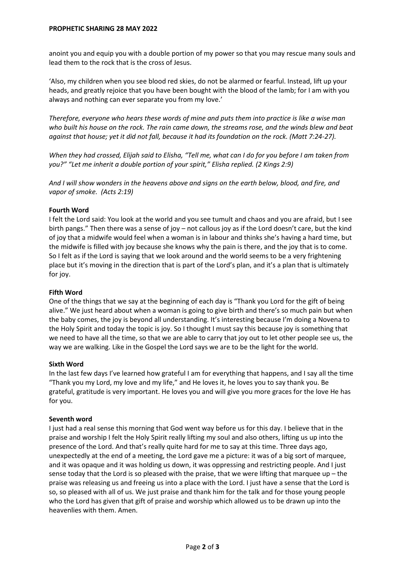anoint you and equip you with a double portion of my power so that you may rescue many souls and lead them to the rock that is the cross of Jesus.

'Also, my children when you see blood red skies, do not be alarmed or fearful. Instead, lift up your heads, and greatly rejoice that you have been bought with the blood of the lamb; for I am with you always and nothing can ever separate you from my love.'

*Therefore, everyone who hears these words of mine and puts them into practice is like a wise man who built his house on the rock. The rain came down, the streams rose, and the winds blew and beat against that house; yet it did not fall, because it had its foundation on the rock. (Matt 7:24-27).*

*When they had crossed, Elijah said to Elisha, "Tell me, what can I do for you before I am taken from you?" "Let me inherit a double portion of your spirit," Elisha replied. (2 Kings 2:9)*

*And I will show wonders in the heavens above and signs on the earth below, blood, and fire, and vapor of smoke. (Acts 2:19)*

# **Fourth Word**

I felt the Lord said: You look at the world and you see tumult and chaos and you are afraid, but I see birth pangs." Then there was a sense of joy – not callous joy as if the Lord doesn't care, but the kind of joy that a midwife would feel when a woman is in labour and thinks she's having a hard time, but the midwife is filled with joy because she knows why the pain is there, and the joy that is to come. So I felt as if the Lord is saying that we look around and the world seems to be a very frightening place but it's moving in the direction that is part of the Lord's plan, and it's a plan that is ultimately for joy.

# **Fifth Word**

One of the things that we say at the beginning of each day is "Thank you Lord for the gift of being alive." We just heard about when a woman is going to give birth and there's so much pain but when the baby comes, the joy is beyond all understanding. It's interesting because I'm doing a Novena to the Holy Spirit and today the topic is joy. So I thought I must say this because joy is something that we need to have all the time, so that we are able to carry that joy out to let other people see us, the way we are walking. Like in the Gospel the Lord says we are to be the light for the world.

# **Sixth Word**

In the last few days I've learned how grateful I am for everything that happens, and I say all the time "Thank you my Lord, my love and my life," and He loves it, he loves you to say thank you. Be grateful, gratitude is very important. He loves you and will give you more graces for the love He has for you.

# **Seventh word**

I just had a real sense this morning that God went way before us for this day. I believe that in the praise and worship I felt the Holy Spirit really lifting my soul and also others, lifting us up into the presence of the Lord. And that's really quite hard for me to say at this time. Three days ago, unexpectedly at the end of a meeting, the Lord gave me a picture: it was of a big sort of marquee, and it was opaque and it was holding us down, it was oppressing and restricting people. And I just sense today that the Lord is so pleased with the praise, that we were lifting that marquee up – the praise was releasing us and freeing us into a place with the Lord. I just have a sense that the Lord is so, so pleased with all of us. We just praise and thank him for the talk and for those young people who the Lord has given that gift of praise and worship which allowed us to be drawn up into the heavenlies with them. Amen.